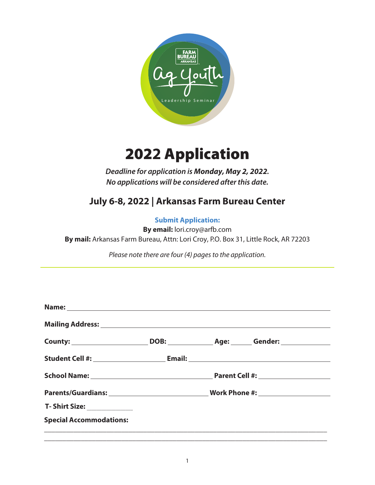

## 202**2** Application

*Deadline for application is* **Monday, May 2, 2022***. No applications will be considered after this date.*

## **July 6-8, 2022 | Arkansas Farm Bureau Center**

## **Submit Application:**

**By email:** lori.croy@arfb.com

**By mail:** Arkansas Farm Bureau, Attn: Lori Croy, P.O. Box 31, Little Rock, AR 72203

*Please note there are four (4) pages to the application.*

|                                |  | DOB: _________________ Age: ________ Gender: ___________________________________ |  |
|--------------------------------|--|----------------------------------------------------------------------------------|--|
|                                |  |                                                                                  |  |
|                                |  |                                                                                  |  |
|                                |  |                                                                                  |  |
| T- Shirt Size: _____________   |  |                                                                                  |  |
| <b>Special Accommodations:</b> |  |                                                                                  |  |
|                                |  |                                                                                  |  |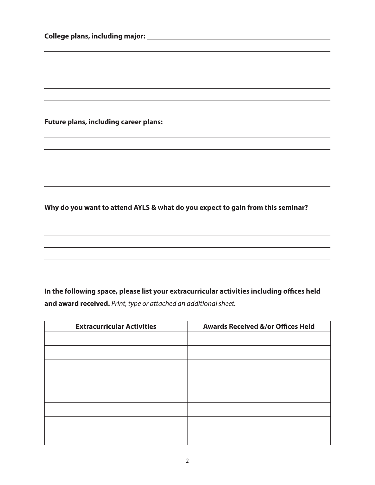| <u> 1989 - Johann Stoff, amerikansk politiker (* 1908)</u>       |                                                                                            |
|------------------------------------------------------------------|--------------------------------------------------------------------------------------------|
|                                                                  |                                                                                            |
|                                                                  |                                                                                            |
|                                                                  |                                                                                            |
|                                                                  |                                                                                            |
|                                                                  |                                                                                            |
|                                                                  |                                                                                            |
|                                                                  |                                                                                            |
|                                                                  | ,我们也不能在这里的时候,我们也不能在这里的时候,我们也不能会在这里的时候,我们也不能会在这里的时候,我们也不能会在这里的时候,我们也不能会在这里的时候,我们也不          |
|                                                                  |                                                                                            |
|                                                                  | In the following space, please list your extracurricular activities including offices held |
| <b>Extracurricular Activities</b>                                | <b>Awards Received &amp;/or Offices Held</b>                                               |
|                                                                  |                                                                                            |
|                                                                  |                                                                                            |
|                                                                  |                                                                                            |
| and award received. Print, type or attached an additional sheet. |                                                                                            |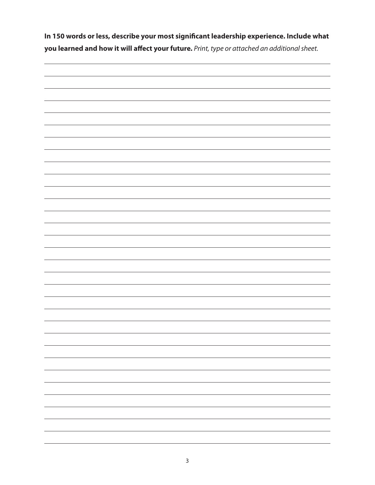**In 150 words or less, describe your most significant leadership experience. Include what you learned and how it will affect your future.** *Print, type or attached an additional sheet.*